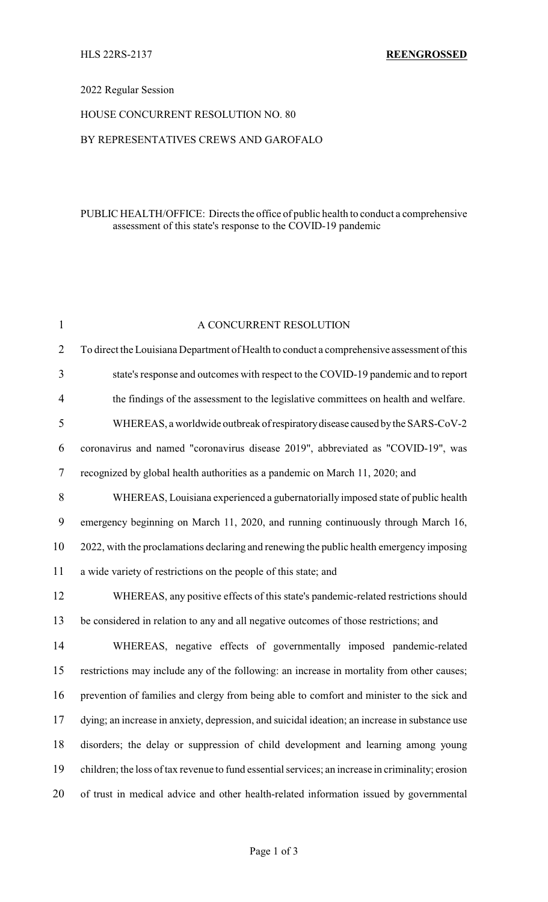## 2022 Regular Session

## HOUSE CONCURRENT RESOLUTION NO. 80

## BY REPRESENTATIVES CREWS AND GAROFALO

## PUBLIC HEALTH/OFFICE: Directs the office of public health to conduct a comprehensive assessment of this state's response to the COVID-19 pandemic

| $\mathbf{1}$   | A CONCURRENT RESOLUTION                                                                           |  |  |
|----------------|---------------------------------------------------------------------------------------------------|--|--|
| $\overline{2}$ | To direct the Louisiana Department of Health to conduct a comprehensive assessment of this        |  |  |
| 3              | state's response and outcomes with respect to the COVID-19 pandemic and to report                 |  |  |
| 4              | the findings of the assessment to the legislative committees on health and welfare.               |  |  |
| 5              | WHEREAS, a worldwide outbreak of respiratory disease caused by the SARS-CoV-2                     |  |  |
| 6              | coronavirus and named "coronavirus disease 2019", abbreviated as "COVID-19", was                  |  |  |
| 7              | recognized by global health authorities as a pandemic on March 11, 2020; and                      |  |  |
| 8              | WHEREAS, Louisiana experienced a gubernatorially imposed state of public health                   |  |  |
| 9              | emergency beginning on March 11, 2020, and running continuously through March 16,                 |  |  |
| 10             | 2022, with the proclamations declaring and renewing the public health emergency imposing          |  |  |
| 11             | a wide variety of restrictions on the people of this state; and                                   |  |  |
| 12             | WHEREAS, any positive effects of this state's pandemic-related restrictions should                |  |  |
| 13             | be considered in relation to any and all negative outcomes of those restrictions; and             |  |  |
| 14             | WHEREAS, negative effects of governmentally imposed pandemic-related                              |  |  |
| 15             | restrictions may include any of the following: an increase in mortality from other causes;        |  |  |
| 16             | prevention of families and clergy from being able to comfort and minister to the sick and         |  |  |
| 17             | dying; an increase in anxiety, depression, and suicidal ideation; an increase in substance use    |  |  |
| 18             | disorders; the delay or suppression of child development and learning among young                 |  |  |
| 19             | children; the loss of tax revenue to fund essential services; an increase in criminality; erosion |  |  |
| 20             | of trust in medical advice and other health-related information issued by governmental            |  |  |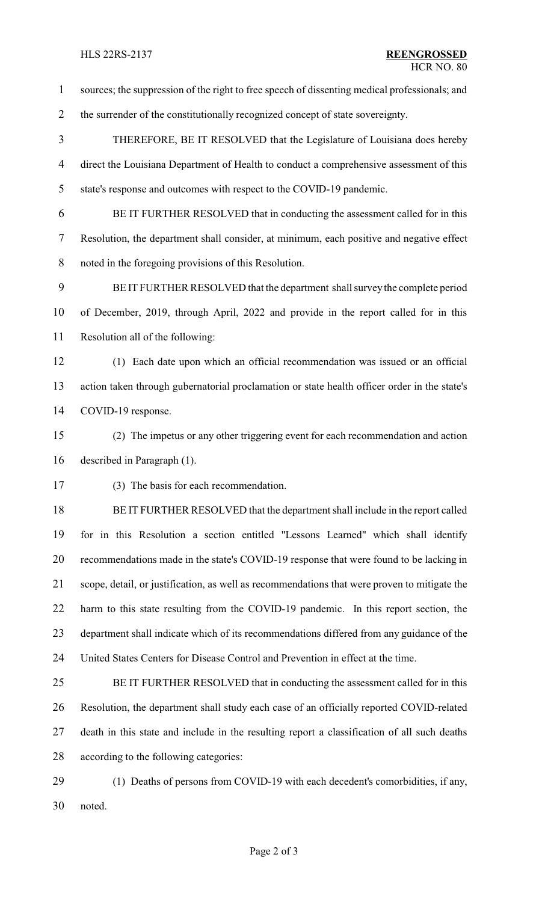sources; the suppression of the right to free speech of dissenting medical professionals; and 2 the surrender of the constitutionally recognized concept of state sovereignty. THEREFORE, BE IT RESOLVED that the Legislature of Louisiana does hereby direct the Louisiana Department of Health to conduct a comprehensive assessment of this state's response and outcomes with respect to the COVID-19 pandemic. BE IT FURTHER RESOLVED that in conducting the assessment called for in this Resolution, the department shall consider, at minimum, each positive and negative effect noted in the foregoing provisions of this Resolution. BE IT FURTHER RESOLVED that the department shall surveythe complete period of December, 2019, through April, 2022 and provide in the report called for in this Resolution all of the following: (1) Each date upon which an official recommendation was issued or an official action taken through gubernatorial proclamation or state health officer order in the state's COVID-19 response. (2) The impetus or any other triggering event for each recommendation and action described in Paragraph (1). (3) The basis for each recommendation. BE IT FURTHER RESOLVED that the department shall include in the report called for in this Resolution a section entitled "Lessons Learned" which shall identify recommendations made in the state's COVID-19 response that were found to be lacking in scope, detail, or justification, as well as recommendations that were proven to mitigate the harm to this state resulting from the COVID-19 pandemic. In this report section, the department shall indicate which of its recommendations differed from any guidance of the United States Centers for Disease Control and Prevention in effect at the time. BE IT FURTHER RESOLVED that in conducting the assessment called for in this Resolution, the department shall study each case of an officially reported COVID-related death in this state and include in the resulting report a classification of all such deaths according to the following categories: (1) Deaths of persons from COVID-19 with each decedent's comorbidities, if any, noted.